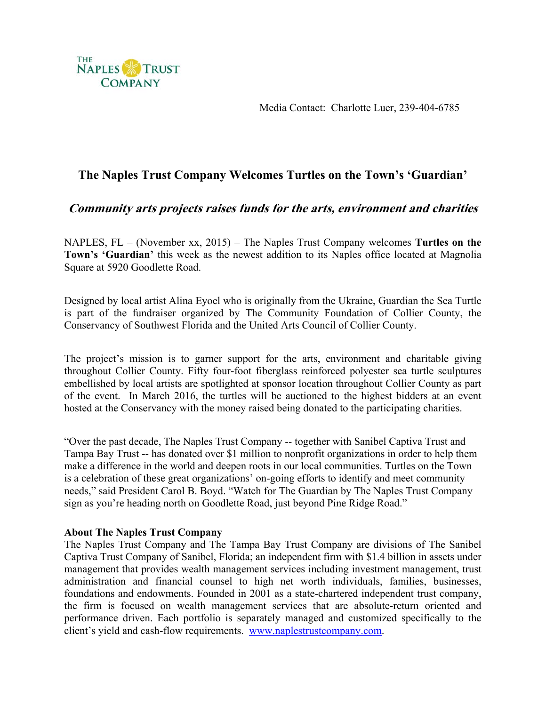

Media Contact: Charlotte Luer, 239-404-6785

## **The Naples Trust Company Welcomes Turtles on the Town's 'Guardian'**

## **Community arts projects raises funds for the arts, environment and charities**

NAPLES, FL – (November xx, 2015) – The Naples Trust Company welcomes **Turtles on the Town's 'Guardian'** this week as the newest addition to its Naples office located at Magnolia Square at 5920 Goodlette Road.

Designed by local artist Alina Eyoel who is originally from the Ukraine, Guardian the Sea Turtle is part of the fundraiser organized by The Community Foundation of Collier County, the Conservancy of Southwest Florida and the United Arts Council of Collier County.

The project's mission is to garner support for the arts, environment and charitable giving throughout Collier County. Fifty four-foot fiberglass reinforced polyester sea turtle sculptures embellished by local artists are spotlighted at sponsor location throughout Collier County as part of the event. In March 2016, the turtles will be auctioned to the highest bidders at an event hosted at the Conservancy with the money raised being donated to the participating charities.

"Over the past decade, The Naples Trust Company -- together with Sanibel Captiva Trust and Tampa Bay Trust -- has donated over \$1 million to nonprofit organizations in order to help them make a difference in the world and deepen roots in our local communities. Turtles on the Town is a celebration of these great organizations' on-going efforts to identify and meet community needs," said President Carol B. Boyd. "Watch for The Guardian by The Naples Trust Company sign as you're heading north on Goodlette Road, just beyond Pine Ridge Road."

## **About The Naples Trust Company**

The Naples Trust Company and The Tampa Bay Trust Company are divisions of The Sanibel Captiva Trust Company of Sanibel, Florida; an independent firm with \$1.4 billion in assets under management that provides wealth management services including investment management, trust administration and financial counsel to high net worth individuals, families, businesses, foundations and endowments. Founded in 2001 as a state-chartered independent trust company, the firm is focused on wealth management services that are absolute-return oriented and performance driven. Each portfolio is separately managed and customized specifically to the client's yield and cash-flow requirements. www.naplestrustcompany.com.